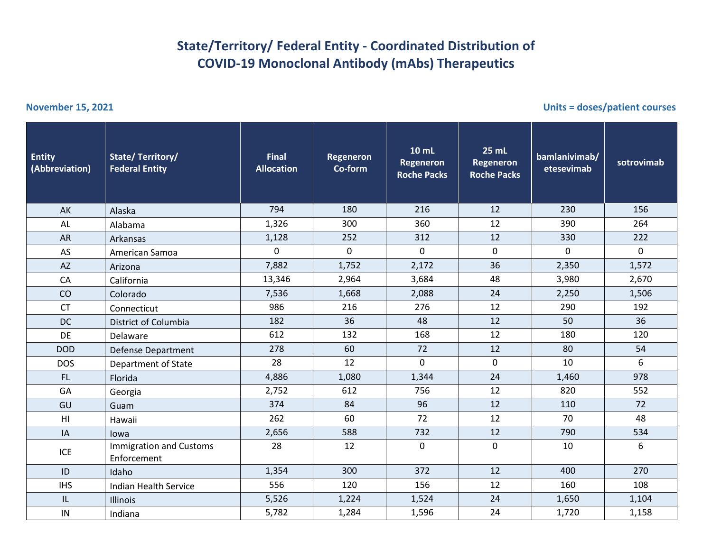## **State/Territory/ Federal Entity - Coordinated Distribution of COVID-19 Monoclonal Antibody (mAbs) Therapeutics**

**November 15, 2021 Units = doses/patient courses**

| <b>Entity</b><br>(Abbreviation) | State/Territory/<br><b>Federal Entity</b>     | <b>Final</b><br><b>Allocation</b> | <b>Regeneron</b><br>Co-form | <b>10 mL</b><br><b>Regeneron</b><br><b>Roche Packs</b> | <b>25 mL</b><br>Regeneron<br><b>Roche Packs</b> | bamlanivimab/<br>etesevimab | sotrovimab          |
|---------------------------------|-----------------------------------------------|-----------------------------------|-----------------------------|--------------------------------------------------------|-------------------------------------------------|-----------------------------|---------------------|
| AK                              | Alaska                                        | 794                               | 180                         | 216                                                    | 12                                              | 230                         | 156                 |
| AL                              | Alabama                                       | 1,326                             | 300                         | 360                                                    | 12                                              | 390                         | 264                 |
| <b>AR</b>                       | Arkansas                                      | 1,128                             | 252                         | 312                                                    | 12                                              | 330                         | 222                 |
| AS                              | American Samoa                                | 0                                 | 0                           | 0                                                      | $\mathbf 0$                                     | 0                           | $\mathsf{O}\xspace$ |
| <b>AZ</b>                       | Arizona                                       | 7,882                             | 1,752                       | 2,172                                                  | 36                                              | 2,350                       | 1,572               |
| CA                              | California                                    | 13,346                            | 2,964                       | 3,684                                                  | 48                                              | 3,980                       | 2,670               |
| CO                              | Colorado                                      | 7,536                             | 1,668                       | 2,088                                                  | 24                                              | 2,250                       | 1,506               |
| <b>CT</b>                       | Connecticut                                   | 986                               | 216                         | 276                                                    | 12                                              | 290                         | 192                 |
| <b>DC</b>                       | District of Columbia                          | 182                               | 36                          | 48                                                     | 12                                              | 50                          | 36                  |
| DE                              | Delaware                                      | 612                               | 132                         | 168                                                    | 12                                              | 180                         | 120                 |
| <b>DOD</b>                      | Defense Department                            | 278                               | 60                          | 72                                                     | 12                                              | 80                          | 54                  |
| <b>DOS</b>                      | Department of State                           | 28                                | 12                          | $\mathbf 0$                                            | $\mathbf 0$                                     | 10                          | 6                   |
| FL.                             | Florida                                       | 4,886                             | 1,080                       | 1,344                                                  | 24                                              | 1,460                       | 978                 |
| GA                              | Georgia                                       | 2,752                             | 612                         | 756                                                    | 12                                              | 820                         | 552                 |
| GU                              | Guam                                          | 374                               | 84                          | 96                                                     | 12                                              | 110                         | 72                  |
| H <sub>l</sub>                  | Hawaii                                        | 262                               | 60                          | 72                                                     | 12                                              | 70                          | 48                  |
| IA                              | lowa                                          | 2,656                             | 588                         | 732                                                    | 12                                              | 790                         | 534                 |
| ICE                             | <b>Immigration and Customs</b><br>Enforcement | 28                                | 12                          | 0                                                      | $\mathbf{0}$                                    | 10                          | 6                   |
| ID                              | Idaho                                         | 1,354                             | 300                         | 372                                                    | 12                                              | 400                         | 270                 |
| <b>IHS</b>                      | <b>Indian Health Service</b>                  | 556                               | 120                         | 156                                                    | 12                                              | 160                         | 108                 |
| IL                              | <b>Illinois</b>                               | 5,526                             | 1,224                       | 1,524                                                  | 24                                              | 1,650                       | 1,104               |
| IN                              | Indiana                                       | 5,782                             | 1,284                       | 1,596                                                  | 24                                              | 1,720                       | 1,158               |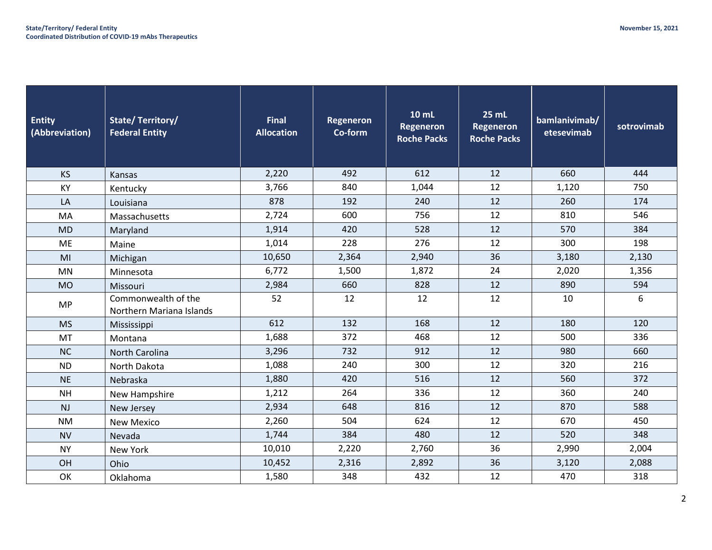| <b>Entity</b><br>(Abbreviation) | <b>State/Territory/</b><br><b>Federal Entity</b> | <b>Final</b><br><b>Allocation</b> | <b>Regeneron</b><br>Co-form | 10 mL<br><b>Regeneron</b><br><b>Roche Packs</b> | <b>25 mL</b><br><b>Regeneron</b><br><b>Roche Packs</b> | bamlanivimab/<br>etesevimab | sotrovimab |
|---------------------------------|--------------------------------------------------|-----------------------------------|-----------------------------|-------------------------------------------------|--------------------------------------------------------|-----------------------------|------------|
| <b>KS</b>                       | Kansas                                           | 2,220                             | 492                         | 612                                             | 12                                                     | 660                         | 444        |
| KY                              | Kentucky                                         | 3,766                             | 840                         | 1,044                                           | 12                                                     | 1,120                       | 750        |
| LA                              | Louisiana                                        | 878                               | 192                         | 240                                             | 12                                                     | 260                         | 174        |
| MA                              | Massachusetts                                    | 2,724                             | 600                         | 756                                             | 12                                                     | 810                         | 546        |
| <b>MD</b>                       | Maryland                                         | 1,914                             | 420                         | 528                                             | 12                                                     | 570                         | 384        |
| ME                              | Maine                                            | 1,014                             | 228                         | 276                                             | 12                                                     | 300                         | 198        |
| MI                              | Michigan                                         | 10,650                            | 2,364                       | 2,940                                           | 36                                                     | 3,180                       | 2,130      |
| <b>MN</b>                       | Minnesota                                        | 6,772                             | 1,500                       | 1,872                                           | 24                                                     | 2,020                       | 1,356      |
| <b>MO</b>                       | Missouri                                         | 2,984                             | 660                         | 828                                             | 12                                                     | 890                         | 594        |
| <b>MP</b>                       | Commonwealth of the<br>Northern Mariana Islands  | 52                                | 12                          | 12                                              | 12                                                     | 10                          | 6          |
| <b>MS</b>                       | Mississippi                                      | 612                               | 132                         | 168                                             | 12                                                     | 180                         | 120        |
| MT                              | Montana                                          | 1,688                             | 372                         | 468                                             | 12                                                     | 500                         | 336        |
| <b>NC</b>                       | <b>North Carolina</b>                            | 3,296                             | 732                         | 912                                             | 12                                                     | 980                         | 660        |
| <b>ND</b>                       | North Dakota                                     | 1,088                             | 240                         | 300                                             | 12                                                     | 320                         | 216        |
| <b>NE</b>                       | Nebraska                                         | 1,880                             | 420                         | 516                                             | 12                                                     | 560                         | 372        |
| <b>NH</b>                       | New Hampshire                                    | 1,212                             | 264                         | 336                                             | 12                                                     | 360                         | 240        |
| <b>NJ</b>                       | New Jersey                                       | 2,934                             | 648                         | 816                                             | 12                                                     | 870                         | 588        |
| <b>NM</b>                       | <b>New Mexico</b>                                | 2,260                             | 504                         | 624                                             | 12                                                     | 670                         | 450        |
| <b>NV</b>                       | Nevada                                           | 1,744                             | 384                         | 480                                             | 12                                                     | 520                         | 348        |
| <b>NY</b>                       | New York                                         | 10,010                            | 2,220                       | 2,760                                           | 36                                                     | 2,990                       | 2,004      |
| OH                              | Ohio                                             | 10,452                            | 2,316                       | 2,892                                           | 36                                                     | 3,120                       | 2,088      |
| OK                              | Oklahoma                                         | 1,580                             | 348                         | 432                                             | 12                                                     | 470                         | 318        |